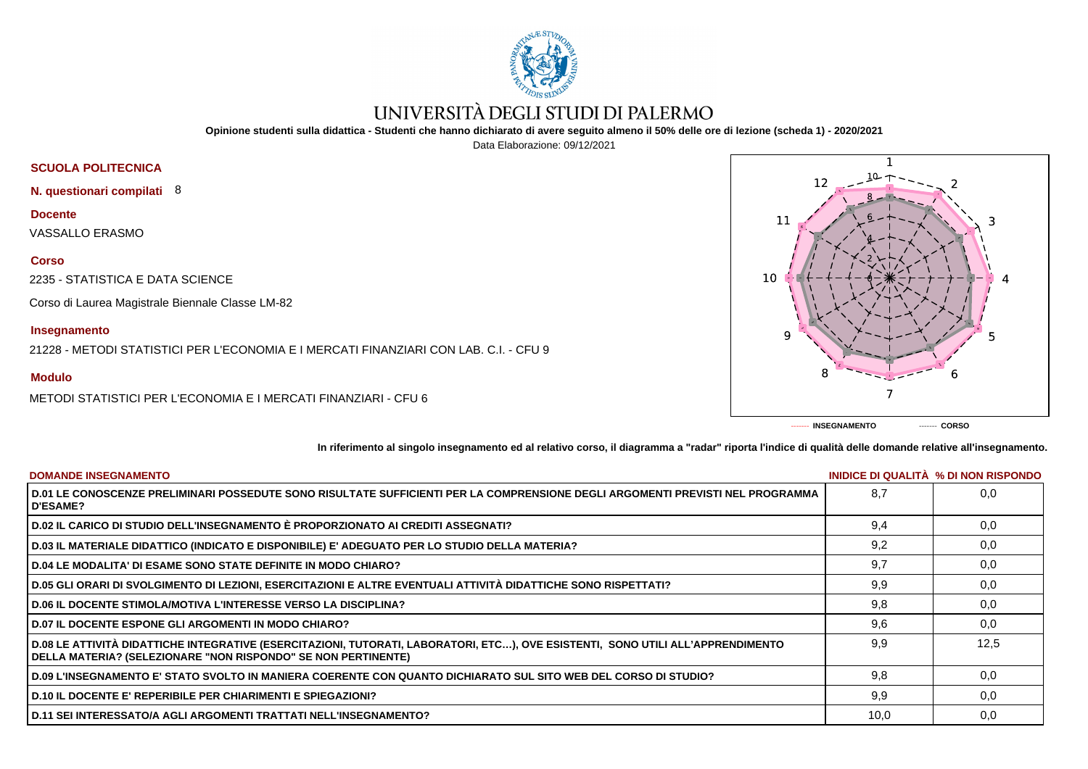

# UNIVERSITÀ DEGLI STUDI DI PALERMO

**Opinione studenti sulla didattica - Studenti che hanno dichiarato di avere seguito almeno il 50% delle ore di lezione (scheda 1) - 2020/2021**

Data Elaborazione: 09/12/2021

# **SCUOLA POLITECNICA**

**N. questionari compilati** 8

**Docente**

VASSALLO ERASMO

### **Corso**

2235 - STATISTICA E DATA SCIENCE

Corso di Laurea Magistrale Biennale Classe LM-82

## **Insegnamento**

21228 - METODI STATISTICI PER L'ECONOMIA E I MERCATI FINANZIARI CON LAB. C.I. - CFU 9

## **Modulo**

METODI STATISTICI PER L'ECONOMIA E I MERCATI FINANZIARI - CFU 6



**In riferimento al singolo insegnamento ed al relativo corso, il diagramma a "radar" riporta l'indice di qualità delle domande relative all'insegnamento.**

| <b>DOMANDE INSEGNAMENTO</b>                                                                                                                                                                             |      | <b>INIDICE DI QUALITA % DI NON RISPONDO</b> |
|---------------------------------------------------------------------------------------------------------------------------------------------------------------------------------------------------------|------|---------------------------------------------|
| D.01 LE CONOSCENZE PRELIMINARI POSSEDUTE SONO RISULTATE SUFFICIENTI PER LA COMPRENSIONE DEGLI ARGOMENTI PREVISTI NEL PROGRAMMA<br><b>D'ESAME?</b>                                                       | 8.7  | 0.0                                         |
| D.02 IL CARICO DI STUDIO DELL'INSEGNAMENTO È PROPORZIONATO AI CREDITI ASSEGNATI?                                                                                                                        | 9.4  | 0,0                                         |
| D.03 IL MATERIALE DIDATTICO (INDICATO E DISPONIBILE) E' ADEGUATO PER LO STUDIO DELLA MATERIA?                                                                                                           | 9,2  | 0,0                                         |
| D.04 LE MODALITA' DI ESAME SONO STATE DEFINITE IN MODO CHIARO?                                                                                                                                          | 9,7  | 0,0                                         |
| D.05 GLI ORARI DI SVOLGIMENTO DI LEZIONI, ESERCITAZIONI E ALTRE EVENTUALI ATTIVITÀ DIDATTICHE SONO RISPETTATI?                                                                                          | 9,9  | 0,0                                         |
| <b>D.06 IL DOCENTE STIMOLA/MOTIVA L'INTERESSE VERSO LA DISCIPLINA?</b>                                                                                                                                  | 9,8  | 0,0                                         |
| <b>D.07 IL DOCENTE ESPONE GLI ARGOMENTI IN MODO CHIARO?</b>                                                                                                                                             | 9,6  | 0,0                                         |
| D.08 LE ATTIVITÀ DIDATTICHE INTEGRATIVE (ESERCITAZIONI, TUTORATI, LABORATORI, ETC), OVE ESISTENTI, SONO UTILI ALL'APPRENDIMENTO<br><b>DELLA MATERIA? (SELEZIONARE "NON RISPONDO" SE NON PERTINENTE)</b> | 9.9  | 12,5                                        |
| D.09 L'INSEGNAMENTO E' STATO SVOLTO IN MANIERA COERENTE CON QUANTO DICHIARATO SUL SITO WEB DEL CORSO DI STUDIO?                                                                                         | 9.8  | 0.0                                         |
| D.10 IL DOCENTE E' REPERIBILE PER CHIARIMENTI E SPIEGAZIONI?                                                                                                                                            | 9.9  | 0,0                                         |
| D.11 SEI INTERESSATO/A AGLI ARGOMENTI TRATTATI NELL'INSEGNAMENTO?                                                                                                                                       | 10,0 | 0,0                                         |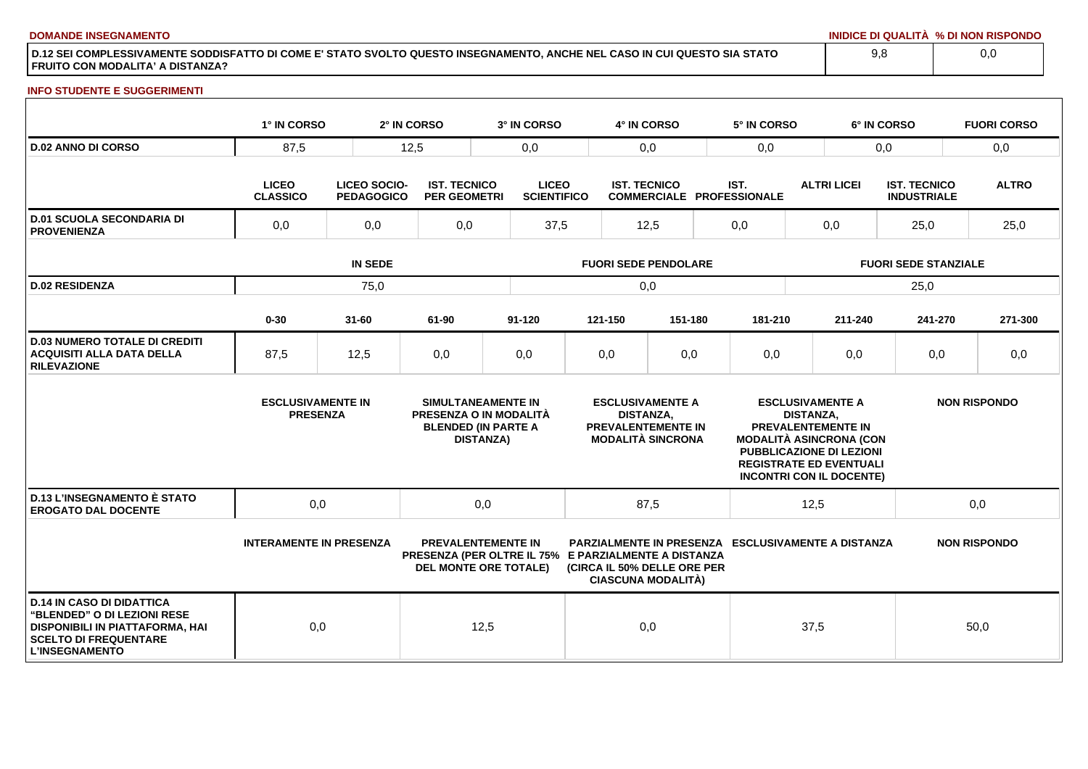**DOMANDE INSEGNAMENTO INIDICE DI QUALITÀ % DI NON RISPONDO**

**D.12 SEI COMPLESSIVAMENTE SODDISFATTO DI COME E' STATO SVOLTO QUESTO INSEGNAMENTO, ANCHE NEL CASO IN CUI QUESTO SIA STATO FRUITO CON MODALITA' A DISTANZA?**

### **INFO STUDENTE E SUGGERIMENTI**

|                                                                                                                                                                    | 1° IN CORSO                                 |                                          | 2° IN CORSO                                | 3° IN CORSO                                                                                                       |                             | 4° IN CORSO         |                                                                                  |     | 5° IN CORSO                                                                                                                                           |                                             | 6° IN CORSO |                                           | <b>FUORI CORSO</b>  |
|--------------------------------------------------------------------------------------------------------------------------------------------------------------------|---------------------------------------------|------------------------------------------|--------------------------------------------|-------------------------------------------------------------------------------------------------------------------|-----------------------------|---------------------|----------------------------------------------------------------------------------|-----|-------------------------------------------------------------------------------------------------------------------------------------------------------|---------------------------------------------|-------------|-------------------------------------------|---------------------|
| <b>D.02 ANNO DI CORSO</b>                                                                                                                                          | 87,5                                        |                                          | 12,5<br>0,0                                |                                                                                                                   |                             | 0,0                 |                                                                                  | 0,0 |                                                                                                                                                       | 0,0                                         |             |                                           | 0,0                 |
|                                                                                                                                                                    | <b>LICEO</b><br><b>CLASSICO</b>             | <b>LICEO SOCIO-</b><br><b>PEDAGOGICO</b> | <b>IST. TECNICO</b><br><b>PER GEOMETRI</b> | <b>LICEO</b><br><b>SCIENTIFICO</b>                                                                                |                             | <b>IST. TECNICO</b> | <b>COMMERCIALE PROFESSIONALE</b>                                                 |     | IST.                                                                                                                                                  | <b>ALTRI LICEI</b>                          |             | <b>IST. TECNICO</b><br><b>INDUSTRIALE</b> | <b>ALTRO</b>        |
| <b>D.01 SCUOLA SECONDARIA DI</b><br><b>PROVENIENZA</b>                                                                                                             | 0,0<br>0,0                                  |                                          | 0,0                                        | 37,5                                                                                                              |                             | 12,5                |                                                                                  |     | 0,0                                                                                                                                                   | 0,0                                         |             | 25,0                                      | 25,0                |
|                                                                                                                                                                    | <b>IN SEDE</b>                              |                                          |                                            |                                                                                                                   | <b>FUORI SEDE PENDOLARE</b> |                     |                                                                                  |     |                                                                                                                                                       | <b>FUORI SEDE STANZIALE</b>                 |             |                                           |                     |
| <b>D.02 RESIDENZA</b>                                                                                                                                              |                                             | 75,0                                     |                                            |                                                                                                                   |                             | 0,0                 |                                                                                  |     |                                                                                                                                                       |                                             |             | 25,0                                      |                     |
|                                                                                                                                                                    | $0 - 30$                                    | $31 - 60$                                | 61-90                                      | $91 - 120$                                                                                                        |                             | 121-150             | 151-180                                                                          |     | 181-210                                                                                                                                               |                                             | 211-240     | 241-270                                   | 271-300             |
| <b>D.03 NUMERO TOTALE DI CREDITI</b><br><b>ACQUISITI ALLA DATA DELLA</b><br><b>RILEVAZIONE</b>                                                                     | 87,5                                        | 12,5                                     | 0,0                                        | 0,0                                                                                                               |                             | 0,0                 | 0,0                                                                              |     | 0,0                                                                                                                                                   |                                             | 0,0         | 0,0                                       | 0,0                 |
|                                                                                                                                                                    | <b>ESCLUSIVAMENTE IN</b><br><b>PRESENZA</b> |                                          |                                            | SIMULTANEAMENTE IN<br>PRESENZA O IN MODALITÀ<br><b>BLENDED (IN PARTE A</b><br><b>DISTANZA)</b>                    |                             | <b>DISTANZA,</b>    | <b>ESCLUSIVAMENTE A</b><br><b>PREVALENTEMENTE IN</b><br><b>MODALITÀ SINCRONA</b> |     | PREVALENTEMENTE IN<br><b>MODALITÀ ASINCRONA (CON</b><br>PUBBLICAZIONE DI LEZIONI<br><b>REGISTRATE ED EVENTUALI</b><br><b>INCONTRI CON IL DOCENTE)</b> | <b>ESCLUSIVAMENTE A</b><br><b>DISTANZA.</b> |             |                                           | <b>NON RISPONDO</b> |
| <b>D.13 L'INSEGNAMENTO È STATO</b><br><b>EROGATO DAL DOCENTE</b>                                                                                                   | 0,0                                         |                                          |                                            | 0,0                                                                                                               |                             | 87,5                |                                                                                  |     |                                                                                                                                                       | 12,5                                        |             |                                           | 0,0                 |
|                                                                                                                                                                    | <b>INTERAMENTE IN PRESENZA</b>              |                                          |                                            | <b>PREVALENTEMENTE IN</b><br>PRESENZA (PER OLTRE IL 75% E PARZIALMENTE A DISTANZA<br><b>DEL MONTE ORE TOTALE)</b> |                             |                     | (CIRCA IL 50% DELLE ORE PER<br><b>CIASCUNA MODALITÀ)</b>                         |     | <b>PARZIALMENTE IN PRESENZA ESCLUSIVAMENTE A DISTANZA</b>                                                                                             |                                             |             |                                           | <b>NON RISPONDO</b> |
| <b>D.14 IN CASO DI DIDATTICA</b><br><b>"BLENDED" O DI LEZIONI RESE</b><br>DISPONIBILI IN PIATTAFORMA, HAI<br><b>SCELTO DI FREQUENTARE</b><br><b>L'INSEGNAMENTO</b> | 0,0                                         |                                          |                                            | 12,5                                                                                                              |                             | 0,0                 |                                                                                  |     |                                                                                                                                                       | 37,5                                        |             |                                           | 50,0                |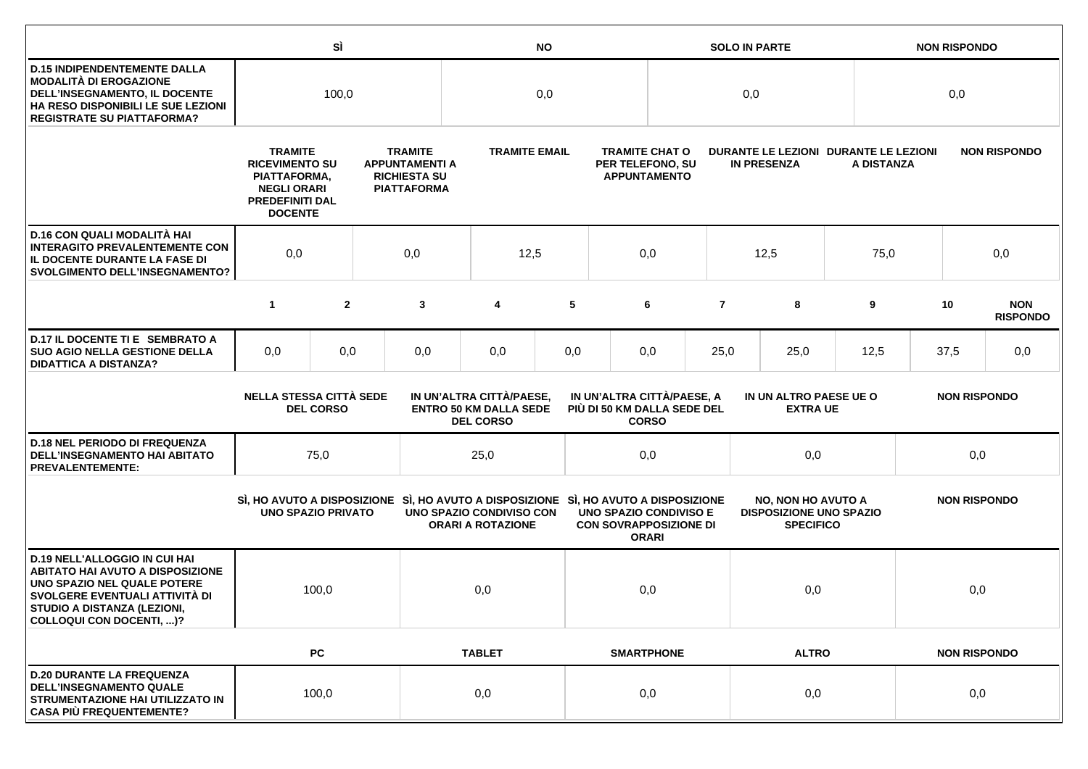|                                                                                                                                                                                                             |                                                                                                                           | SÌ             |  | <b>NO</b>                                                                                                                                  |                                                      |     |                                                                | <b>SOLO IN PARTE</b>                                             |                                                             |                                                                                 |                     | <b>NON RISPONDO</b> |     |                               |
|-------------------------------------------------------------------------------------------------------------------------------------------------------------------------------------------------------------|---------------------------------------------------------------------------------------------------------------------------|----------------|--|--------------------------------------------------------------------------------------------------------------------------------------------|------------------------------------------------------|-----|----------------------------------------------------------------|------------------------------------------------------------------|-------------------------------------------------------------|---------------------------------------------------------------------------------|---------------------|---------------------|-----|-------------------------------|
| <b>D.15 INDIPENDENTEMENTE DALLA</b><br>MODALITÀ DI EROGAZIONE<br>DELL'INSEGNAMENTO, IL DOCENTE<br>HA RESO DISPONIBILI LE SUE LEZIONI<br><b>REGISTRATE SU PIATTAFORMA?</b>                                   | 100,0                                                                                                                     |                |  | 0,0                                                                                                                                        |                                                      |     | 0,0                                                            |                                                                  |                                                             |                                                                                 | 0,0                 |                     |     |                               |
|                                                                                                                                                                                                             | <b>TRAMITE</b><br><b>RICEVIMENTO SU</b><br>PIATTAFORMA,<br><b>NEGLI ORARI</b><br><b>PREDEFINITI DAL</b><br><b>DOCENTE</b> |                |  | <b>TRAMITE</b><br><b>APPUNTAMENTI A</b><br><b>RICHIESTA SU</b><br><b>PIATTAFORMA</b>                                                       | <b>TRAMITE EMAIL</b>                                 |     |                                                                | <b>TRAMITE CHAT O</b><br>PER TELEFONO, SU<br><b>APPUNTAMENTO</b> | DURANTE LE LEZIONI DURANTE LE LEZIONI<br><b>IN PRESENZA</b> |                                                                                 |                     | A DISTANZA          |     | <b>NON RISPONDO</b>           |
| D.16 CON QUALI MODALITÀ HAI<br><b>INTERAGITO PREVALENTEMENTE CON</b><br>IL DOCENTE DURANTE LA FASE DI<br><b>SVOLGIMENTO DELL'INSEGNAMENTO?</b>                                                              | 0,0<br>0,0                                                                                                                |                |  | 12,5                                                                                                                                       |                                                      | 0,0 |                                                                |                                                                  | 12,5                                                        | 75,0                                                                            |                     | 0,0                 |     |                               |
|                                                                                                                                                                                                             | $\mathbf{1}$                                                                                                              | $\overline{2}$ |  | 3                                                                                                                                          | 4                                                    | 5   |                                                                | 6                                                                | $\overline{7}$                                              | 8                                                                               | 9                   |                     | 10  | <b>NON</b><br><b>RISPONDO</b> |
| D.17 IL DOCENTE TI E SEMBRATO A<br><b>SUO AGIO NELLA GESTIONE DELLA</b><br><b>DIDATTICA A DISTANZA?</b>                                                                                                     | 0,0                                                                                                                       | 0,0            |  | 0,0                                                                                                                                        | 0,0                                                  | 0,0 |                                                                | 0,0<br>25,0<br>25,0                                              |                                                             | 12,5                                                                            |                     | 37,5                | 0,0 |                               |
|                                                                                                                                                                                                             | <b>NELLA STESSA CITTÀ SEDE</b><br><b>DEL CORSO</b>                                                                        |                |  | IN UN'ALTRA CITTÀ/PAESE,<br>IN UN'ALTRA CITTÀ/PAESE, A<br><b>ENTRO 50 KM DALLA SEDE</b><br>PIÙ DI 50 KM DALLA SEDE DEL<br><b>DEL CORSO</b> |                                                      |     | <b>CORSO</b>                                                   | IN UN ALTRO PAESE UE O<br><b>EXTRA UE</b>                        |                                                             |                                                                                 |                     | <b>NON RISPONDO</b> |     |                               |
| <b>D.18 NEL PERIODO DI FREQUENZA</b><br>DELL'INSEGNAMENTO HAI ABITATO<br><b>PREVALENTEMENTE:</b>                                                                                                            |                                                                                                                           | 75,0           |  |                                                                                                                                            | 25,0                                                 |     |                                                                | 0,0                                                              |                                                             |                                                                                 | 0,0                 |                     | 0,0 |                               |
|                                                                                                                                                                                                             | <b>UNO SPAZIO PRIVATO</b>                                                                                                 |                |  | SI, HO AVUTO A DISPOSIZIONE SI, HO AVUTO A DISPOSIZIONE SI, HO AVUTO A DISPOSIZIONE                                                        | UNO SPAZIO CONDIVISO CON<br><b>ORARI A ROTAZIONE</b> |     | <b>UNO SPAZIO CONDIVISO E</b><br><b>CON SOVRAPPOSIZIONE DI</b> | <b>ORARI</b>                                                     |                                                             | <b>NO, NON HO AVUTO A</b><br><b>DISPOSIZIONE UNO SPAZIO</b><br><b>SPECIFICO</b> |                     | <b>NON RISPONDO</b> |     |                               |
| <b>D.19 NELL'ALLOGGIO IN CUI HAI</b><br><b>ABITATO HAI AVUTO A DISPOSIZIONE</b><br>UNO SPAZIO NEL QUALE POTERE<br>SVOLGERE EVENTUALI ATTIVITÀ DI<br>STUDIO A DISTANZA (LEZIONI,<br>COLLOQUI CON DOCENTI, )? | 100,0                                                                                                                     |                |  | 0,0                                                                                                                                        |                                                      | 0,0 |                                                                |                                                                  | 0,0                                                         |                                                                                 | 0,0                 |                     |     |                               |
|                                                                                                                                                                                                             |                                                                                                                           | PC             |  |                                                                                                                                            | <b>TABLET</b>                                        |     | <b>SMARTPHONE</b><br><b>ALTRO</b>                              |                                                                  |                                                             |                                                                                 | <b>NON RISPONDO</b> |                     |     |                               |
| <b>D.20 DURANTE LA FREQUENZA</b><br><b>DELL'INSEGNAMENTO QUALE</b><br>STRUMENTAZIONE HAI UTILIZZATO IN<br><b>CASA PIÙ FREQUENTEMENTE?</b>                                                                   | 100,0                                                                                                                     |                |  | 0,0                                                                                                                                        |                                                      | 0,0 |                                                                |                                                                  | 0,0                                                         |                                                                                 | 0,0                 |                     |     |                               |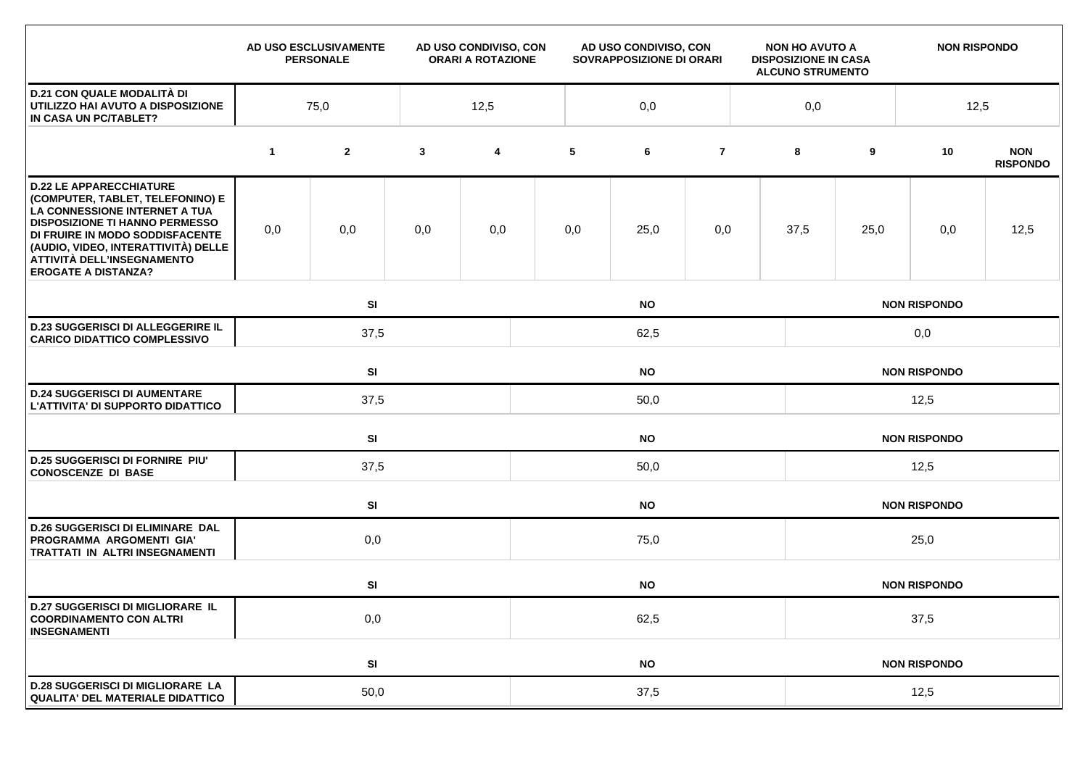|                                                                                                                                                                                                                                                                                    |             | AD USO ESCLUSIVAMENTE<br><b>PERSONALE</b> | AD USO CONDIVISO, CON<br><b>ORARI A ROTAZIONE</b> |      | AD USO CONDIVISO, CON<br>SOVRAPPOSIZIONE DI ORARI |           |                |  | <b>NON HO AVUTO A</b><br><b>DISPOSIZIONE IN CASA</b><br><b>ALCUNO STRUMENTO</b> |                     | <b>NON RISPONDO</b> |                               |  |
|------------------------------------------------------------------------------------------------------------------------------------------------------------------------------------------------------------------------------------------------------------------------------------|-------------|-------------------------------------------|---------------------------------------------------|------|---------------------------------------------------|-----------|----------------|--|---------------------------------------------------------------------------------|---------------------|---------------------|-------------------------------|--|
| <b>D.21 CON QUALE MODALITÀ DI</b><br>UTILIZZO HAI AVUTO A DISPOSIZIONE<br>IN CASA UN PC/TABLET?                                                                                                                                                                                    | 75,0        |                                           |                                                   | 12,5 |                                                   | 0,0       |                |  |                                                                                 | 0,0                 |                     | 12,5                          |  |
|                                                                                                                                                                                                                                                                                    | $\mathbf 1$ | $\mathbf{2}$                              | $\mathbf{3}$                                      | 4    | 5                                                 | 6         | $\overline{7}$ |  | 8                                                                               | 9                   | 10                  | <b>NON</b><br><b>RISPONDO</b> |  |
| <b>D.22 LE APPARECCHIATURE</b><br>(COMPUTER, TABLET, TELEFONINO) E<br>LA CONNESSIONE INTERNET A TUA<br><b>DISPOSIZIONE TI HANNO PERMESSO</b><br>DI FRUIRE IN MODO SODDISFACENTE<br>(AUDIO, VIDEO, INTERATTIVITÀ) DELLE<br>ATTIVITÀ DELL'INSEGNAMENTO<br><b>EROGATE A DISTANZA?</b> | 0,0         | 0,0                                       | 0,0                                               | 0,0  | 0,0                                               | 25,0      | 0,0            |  | 37,5                                                                            | 25,0                | 0,0                 | 12,5                          |  |
|                                                                                                                                                                                                                                                                                    |             | SI                                        |                                                   |      |                                                   | <b>NO</b> |                |  | <b>NON RISPONDO</b>                                                             |                     |                     |                               |  |
| <b>D.23 SUGGERISCI DI ALLEGGERIRE IL</b><br><b>CARICO DIDATTICO COMPLESSIVO</b>                                                                                                                                                                                                    |             | 37,5                                      |                                                   |      | 62,5                                              |           |                |  |                                                                                 | 0,0                 |                     |                               |  |
|                                                                                                                                                                                                                                                                                    |             | SI<br><b>NO</b>                           |                                                   |      |                                                   |           |                |  | <b>NON RISPONDO</b>                                                             |                     |                     |                               |  |
| <b>D.24 SUGGERISCI DI AUMENTARE</b><br>L'ATTIVITA' DI SUPPORTO DIDATTICO                                                                                                                                                                                                           |             | 37,5                                      |                                                   |      | 50,0                                              |           |                |  |                                                                                 | 12,5                |                     |                               |  |
|                                                                                                                                                                                                                                                                                    |             | SI<br><b>NO</b>                           |                                                   |      |                                                   |           |                |  |                                                                                 |                     | <b>NON RISPONDO</b> |                               |  |
| <b>D.25 SUGGERISCI DI FORNIRE PIU'</b><br><b>CONOSCENZE DI BASE</b>                                                                                                                                                                                                                | 37,5        |                                           |                                                   |      | 50,0                                              |           |                |  |                                                                                 | 12,5                |                     |                               |  |
|                                                                                                                                                                                                                                                                                    |             | SI                                        |                                                   |      | <b>NO</b>                                         |           |                |  |                                                                                 | <b>NON RISPONDO</b> |                     |                               |  |
| <b>D.26 SUGGERISCI DI ELIMINARE DAL</b><br>PROGRAMMA ARGOMENTI GIA'<br>TRATTATI IN ALTRI INSEGNAMENTI                                                                                                                                                                              |             | 0,0                                       |                                                   |      | 75,0                                              |           |                |  |                                                                                 | 25,0                |                     |                               |  |
|                                                                                                                                                                                                                                                                                    |             | SI                                        |                                                   |      |                                                   | <b>NO</b> |                |  |                                                                                 |                     | <b>NON RISPONDO</b> |                               |  |
| <b>D.27 SUGGERISCI DI MIGLIORARE IL</b><br><b>COORDINAMENTO CON ALTRI</b><br><b>INSEGNAMENTI</b>                                                                                                                                                                                   | 0,0         |                                           |                                                   |      | 62,5                                              |           |                |  |                                                                                 | 37,5                |                     |                               |  |
|                                                                                                                                                                                                                                                                                    |             | SI                                        |                                                   |      | <b>NO</b>                                         |           |                |  |                                                                                 | <b>NON RISPONDO</b> |                     |                               |  |
| <b>D.28 SUGGERISCI DI MIGLIORARE LA</b><br><b>QUALITA' DEL MATERIALE DIDATTICO</b>                                                                                                                                                                                                 | 50,0        |                                           |                                                   |      | 37,5                                              |           |                |  |                                                                                 | 12,5                |                     |                               |  |